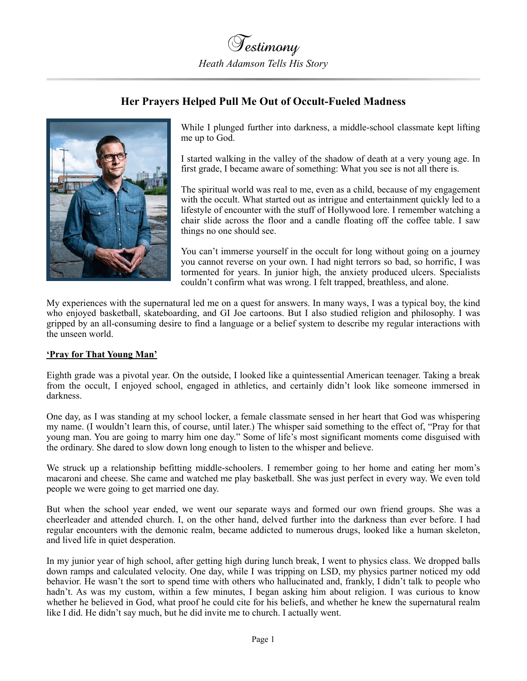

## **Her Prayers Helped Pull Me Out of Occult-Fueled Madness**



While I plunged further into darkness, a middle-school classmate kept lifting me up to God.

I started walking in the valley of the shadow of death at a very young age. In first grade, I became aware of something: What you see is not all there is.

The spiritual world was real to me, even as a child, because of my engagement with the occult. What started out as intrigue and entertainment quickly led to a lifestyle of encounter with the stuff of Hollywood lore. I remember watching a chair slide across the floor and a candle floating off the coffee table. I saw things no one should see.

You can't immerse yourself in the occult for long without going on a journey you cannot reverse on your own. I had night terrors so bad, so horrific, I was tormented for years. In junior high, the anxiety produced ulcers. Specialists couldn't confirm what was wrong. I felt trapped, breathless, and alone.

My experiences with the supernatural led me on a quest for answers. In many ways, I was a typical boy, the kind who enjoyed basketball, skateboarding, and GI Joe cartoons. But I also studied religion and philosophy. I was gripped by an all-consuming desire to find a language or a belief system to describe my regular interactions with the unseen world.

## **'Pray for That Young Man'**

Eighth grade was a pivotal year. On the outside, I looked like a quintessential American teenager. Taking a break from the occult, I enjoyed school, engaged in athletics, and certainly didn't look like someone immersed in darkness.

One day, as I was standing at my school locker, a female classmate sensed in her heart that God was whispering my name. (I wouldn't learn this, of course, until later.) The whisper said something to the effect of, "Pray for that young man. You are going to marry him one day." Some of life's most significant moments come disguised with the ordinary. She dared to slow down long enough to listen to the whisper and believe.

We struck up a relationship befitting middle-schoolers. I remember going to her home and eating her mom's macaroni and cheese. She came and watched me play basketball. She was just perfect in every way. We even told people we were going to get married one day.

But when the school year ended, we went our separate ways and formed our own friend groups. She was a cheerleader and attended church. I, on the other hand, delved further into the darkness than ever before. I had regular encounters with the demonic realm, became addicted to numerous drugs, looked like a human skeleton, and lived life in quiet desperation.

In my junior year of high school, after getting high during lunch break, I went to physics class. We dropped balls down ramps and calculated velocity. One day, while I was tripping on LSD, my physics partner noticed my odd behavior. He wasn't the sort to spend time with others who hallucinated and, frankly, I didn't talk to people who hadn't. As was my custom, within a few minutes, I began asking him about religion. I was curious to know whether he believed in God, what proof he could cite for his beliefs, and whether he knew the supernatural realm like I did. He didn't say much, but he did invite me to church. I actually went.